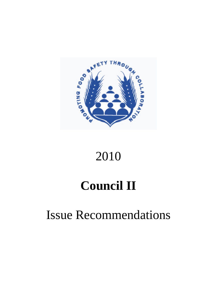

# 2010

# **Council II**

## Issue Recommendations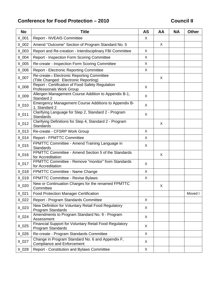## Conference for Food Protection – 2010 **Conference Food Protection – 2010**

| <b>No</b> | <b>Title</b>                                                                          |         | AA | <b>NA</b> | <b>Other</b> |
|-----------|---------------------------------------------------------------------------------------|---------|----|-----------|--------------|
| $II_001$  | <b>Report - NVEAIS Committee</b>                                                      | X       |    |           |              |
| $II_002$  | Amend "Outcome" Section of Program Standard No. 5                                     |         | X  |           |              |
| $II_003$  | Report and Re-creation - Interdisciplinary FBI Committee                              | X       |    |           |              |
| $II_004$  | <b>Report - Inspection Form Scoring Committee</b>                                     | X       |    |           |              |
| $II_005$  | Re-create - Inspection Form Scoring Committee                                         | X       |    |           |              |
| II 006    | <b>Report - Electronic Reporting Committee</b>                                        | X       |    |           |              |
| $II_007$  | Re-create-- Electronic Reporting Committee<br>(Title Changed: Electronic Reporting)   |         | X  |           |              |
| $II_008$  | Report - Certification of Food Safety Regulation<br><b>Professionals Work Group</b>   | X       |    |           |              |
| $II_009$  | Allergen Management Course Addition to Appendix B-1,<br>Standard 2                    | $\sf X$ |    |           |              |
| $II_010$  | Emergency Management Course Additions to Appendix B-<br>1, Standard 2                 | X       |    |           |              |
| $II_011$  | Clarifying Language for Step 2, Standard 2 - Program<br><b>Standards</b>              | X       |    |           |              |
| $II_012$  | Clarifying Definitions for Step 4, Standard 2 - Program<br><b>Standards</b>           |         | X  |           |              |
| $II_013$  | Re-create - CFSRP Work Group                                                          | X       |    |           |              |
| $II_014$  | <b>Report - FPMTTC Committee</b>                                                      | X       |    |           |              |
| $II_015$  | FPMTTC Committee - Amend Training Language in<br><b>Standards</b>                     | X       |    |           |              |
| $II_016$  | FPMTTC Committee - Amend Section 5 of the Standards<br>for Accreditation              |         | X  |           |              |
| $II_017$  | FPMTTC Committee - Remove "monitor" from Standards<br>for Accreditation               | X       |    |           |              |
| $II_018$  | FPMTTC Committee - Name Change                                                        | X       |    |           |              |
| $II_019$  | <b>FPMTTC Committee - Revise Bylaws</b>                                               | X       |    |           |              |
| II 020    | New or Continuation Charges for the renamed FPMTTC<br>Committee                       |         | X  |           |              |
| $II_021$  | <b>Food Protection Manager Certification</b>                                          |         |    |           | Moved I      |
| $II_022$  | Report - Program Standards Committee                                                  | X       |    |           |              |
| $II_023$  | New Definition for Voluntary Retail Food Regulatory<br>Program Standards              | X       |    |           |              |
| $II_024$  | Amendments to Program Standard No. 9 - Program<br>Assessment                          | X       |    |           |              |
| $II_025$  | Financial Support for Voluntary Retail Food Regulatory<br>Program Standards           | X       |    |           |              |
| $II$ 026  | Re-create - Program Standards Committee                                               | X       |    |           |              |
| $II_027$  | Change in Program Standard No. 6 and Appendix F,<br><b>Compliance and Enforcement</b> | X       |    |           |              |
| $II_028$  | Report - Constitution and Bylaws Committee                                            | X       |    |           |              |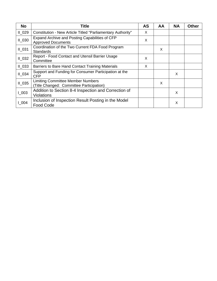| <b>No</b> | <b>Title</b>                                                                         | <b>AS</b> | AA | <b>NA</b> | <b>Other</b> |
|-----------|--------------------------------------------------------------------------------------|-----------|----|-----------|--------------|
| $II_029$  | Constitution - New Article Titled "Parliamentary Authority"                          | X         |    |           |              |
| $II_030$  | Expand Archive and Posting Capabilities of CFP<br><b>Approved Documents</b>          | X         |    |           |              |
| $II_031$  | Coordination of the Two Current FDA Food Program<br><b>Standards</b>                 |           | X  |           |              |
| $II_032$  | Report - Food Contact and Utensil Barrier Usage<br>Committee                         | X         |    |           |              |
| $II_033$  | Barriers to Bare Hand Contact Training Materials                                     | X         |    |           |              |
| $II$ 034  | Support and Funding for Consumer Participation at the<br><b>CFP</b>                  |           |    | X         |              |
| $II_035$  | <b>Limiting Committee Member Numbers</b><br>(Title Changed: Committee Participation) |           | X  |           |              |
| $L_{003}$ | Addition to Section 8-4 Inspection and Correction of<br><b>Violations</b>            |           |    | X         |              |
| $L_{004}$ | Inclusion of Inspection Result Posting in the Model<br>Food Code                     |           |    | X         |              |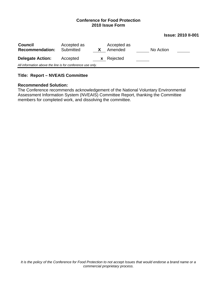#### **Issue: 2010 II-001**

| <b>Council</b><br><b>Recommendation:</b> | Accepted as<br>Submitted                                   |  | Accepted as<br>Amended | No Action |  |  |  |  |
|------------------------------------------|------------------------------------------------------------|--|------------------------|-----------|--|--|--|--|
| <b>Delegate Action:</b>                  | Accepted                                                   |  | <b>x</b> Rejected      |           |  |  |  |  |
|                                          | All information above the line is for conference use only. |  |                        |           |  |  |  |  |

## **Title: Report – NVEAIS Committee**

#### **Recommended Solution:**

The Conference recommends acknowledgement of the National Voluntary Environmental Assessment Information System (NVEAIS) Committee Report, thanking the Committee members for completed work, and dissolving the committee.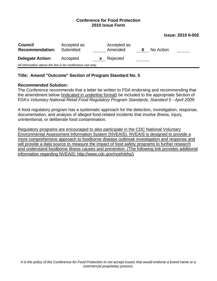#### **Issue: 2010 II-002**

| <b>Council</b><br><b>Recommendation:</b>                   | Accepted as<br>Submitted |              | Accepted as<br>Amended | X | No Action |  |
|------------------------------------------------------------|--------------------------|--------------|------------------------|---|-----------|--|
| <b>Delegate Action:</b>                                    | Accepted                 | $\mathbf{x}$ | Rejected               |   |           |  |
| All information above the line is for conference use only. |                          |              |                        |   |           |  |

#### **Title: Amend "Outcome" Section of Program Standard No. 5**

#### **Recommended Solution:**

The Conference recommends that a letter be written to FDA endorsing and recommending that the amendment below (indicated in underline format) be included to the appropriate Section of FDA's *Voluntary National Retail Food Regulatory Program Standards, Standard 5 - April 2009:*

A food regulatory program has a systematic approach for the detection, investigation, response, documentation, and analysis of alleged food-related incidents that involve illness, injury, unintentional, or deliberate food contamination.

Regulatory programs are encouraged to also participate in the CDC National Voluntary Environmental Assessment Information System (NVEAIS). NVEAIS is designed to provide a more comprehensive approach to foodborne disease outbreak investigation and response and will provide a data source to measure the impact of food safety programs to further research and understand foodborne illness causes and prevention. (The following link provides additional information regarding NVEAIS: http://www.cdc.gov/nceh/ehs/)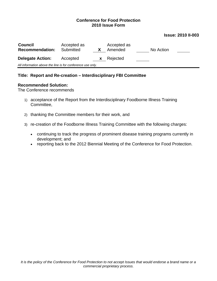#### **Issue: 2010 II-003**

| <b>Council</b><br><b>Recommendation:</b> | Accepted as<br>Submitted                                   |          | Accepted as<br>Amended | No Action |  |  |  |  |
|------------------------------------------|------------------------------------------------------------|----------|------------------------|-----------|--|--|--|--|
| <b>Delegate Action:</b>                  | Accepted                                                   | <b>X</b> | Rejected               |           |  |  |  |  |
|                                          | All information above the line is for conference use only. |          |                        |           |  |  |  |  |

#### **Title: Report and Re-creation – Interdisciplinary FBI Committee**

#### **Recommended Solution:**

The Conference recommends

- 1) acceptance of the Report from the Interdisciplinary Foodborne Illness Training Committee,
- 2) thanking the Committee members for their work, and
- 3) re-creation of the Foodborne Illness Training Committee with the following charges:
	- continuing to track the progress of prominent disease training programs currently in development; and
	- reporting back to the 2012 Biennial Meeting of the Conference for Food Protection.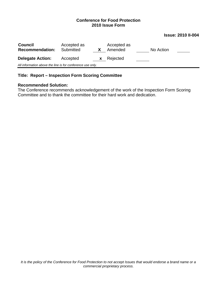#### **Issue: 2010 II-004**

| <b>Council</b><br><b>Recommendation:</b>                   | Accepted as<br>Submitted |    | Accepted as<br>Amended |  | No Action |  |
|------------------------------------------------------------|--------------------------|----|------------------------|--|-----------|--|
| <b>Delegate Action:</b>                                    | Accepted                 | X. | Rejected               |  |           |  |
| All information above the line is for conference use only. |                          |    |                        |  |           |  |

## **Title: Report – Inspection Form Scoring Committee**

#### **Recommended Solution:**

The Conference recommends acknowledgement of the work of the Inspection Form Scoring Committee and to thank the committee for their hard work and dedication.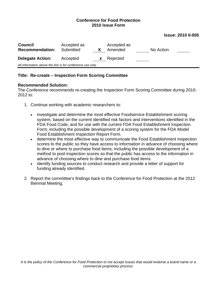#### **Issue: 2010 II-005**

| <b>Council</b><br><b>Recommendation:</b>                   | Accepted as<br>Submitted |   | Accepted as<br>Amended | No Action |  |  |  |
|------------------------------------------------------------|--------------------------|---|------------------------|-----------|--|--|--|
| <b>Delegate Action:</b>                                    | Accepted                 | X | Rejected               |           |  |  |  |
| All information above the line is for conference use only. |                          |   |                        |           |  |  |  |

#### **Title: Re-create – Inspection Form Scoring Committee**

#### **Recommended Solution:**

The Conference recommends re-creating the Inspection Form Scoring Committee during 2010- 2012 to:

- 1. Continue working with academic researchers to:
	- investigate and determine the most effective Foodservice Establishment scoring system, based on the current identified risk factors and interventions identified in the FDA Food Code, and for use with the current FDA Food Establishment Inspection Form; including the possible development of a scoring system for the FDA Model Food Establishment Inspection Report Form.
	- determine the most effective way to communicate the Food Establishment Inspection scores to the public so they have access to information in advance of choosing where to dine or where to purchase food items; including the possible development of a method to post inspection scores so that the public has access to the information in advance of choosing where to dine and purchase food items.
	- identify funding sources to conduct research and provide a letter of support for funding already identified.
- 2. Report the committee's findings back to the Conference for Food Protection at the 2012 Biennial Meeting.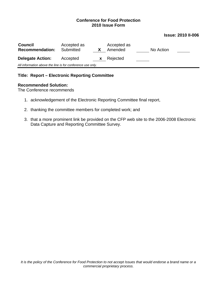#### **Issue: 2010 II-006**

| <b>Council</b><br><b>Recommendation:</b>                   | Accepted as<br>Submitted | X            | Accepted as<br>Amended | No Action |  |  |  |
|------------------------------------------------------------|--------------------------|--------------|------------------------|-----------|--|--|--|
| <b>Delegate Action:</b>                                    | Accepted                 | $\mathbf{x}$ | Rejected               |           |  |  |  |
| All information above the line is for conference use only. |                          |              |                        |           |  |  |  |

#### **Title: Report – Electronic Reporting Committee**

#### **Recommended Solution:**

The Conference recommends

- 1. acknowledgement of the Electronic Reporting Committee final report,
- 2. thanking the committee members for completed work; and
- 3. that a more prominent link be provided on the CFP web site to the 2006-2008 Electronic Data Capture and Reporting Committee Survey.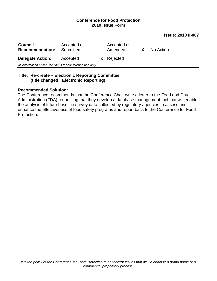**Issue: 2010 II-007** 

| <b>Council</b><br><b>Recommendation:</b>                   | Accepted as<br>Submitted | Accepted as<br>Amended | X | No Action |  |
|------------------------------------------------------------|--------------------------|------------------------|---|-----------|--|
| <b>Delegate Action:</b>                                    | Accepted                 | <b>x</b> Rejected      |   |           |  |
| All information above the line is for conference use only. |                          |                        |   |           |  |
|                                                            |                          |                        |   |           |  |

## **Title: Re-create – Electronic Reporting Committee (title changed: Electronic Reporting)**

#### **Recommended Solution:**

The Conference recommends that the Conference Chair write a letter to the Food and Drug Administration (FDA) requesting that they develop a database management tool that will enable the analysis of future baseline survey data collected by regulatory agencies to assess and enhance the effectiveness of food safety programs and report back to the Conference for Food Protection.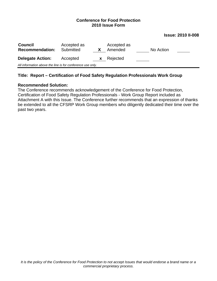**Issue: 2010 II-008** 

| <b>Council</b><br><b>Recommendation:</b>                   | Accepted as<br>Submitted |   | Accepted as<br>Amended | No Action |  |  |
|------------------------------------------------------------|--------------------------|---|------------------------|-----------|--|--|
| <b>Delegate Action:</b>                                    | Accepted                 | X | Rejected               |           |  |  |
| All information above the line is for conference use only. |                          |   |                        |           |  |  |

#### **Title: Report – Certification of Food Safety Regulation Professionals Work Group**

#### **Recommended Solution:**

The Conference recommends acknowledgement of the Conference for Food Protection, Certification of Food Safety Regulation Professionals - Work Group Report included as Attachment A with this Issue. The Conference further recommends that an expression of thanks be extended to all the CFSRP Work Group members who diligently dedicated their time over the past two years.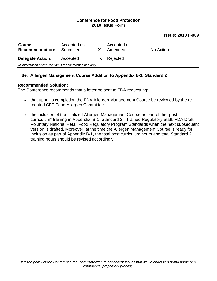**Issue: 2010 II-009** 

| <b>Council</b><br><b>Recommendation:</b>                   | Accepted as<br>Submitted |              | Accepted as<br>Amended | No Action |  |  |
|------------------------------------------------------------|--------------------------|--------------|------------------------|-----------|--|--|
| <b>Delegate Action:</b>                                    | Accepted                 | $\mathbf{X}$ | Rejected               |           |  |  |
| All information above the line is for conference use only. |                          |              |                        |           |  |  |

## **Title: Allergen Management Course Addition to Appendix B-1, Standard 2**

#### **Recommended Solution:**

The Conference recommends that a letter be sent to FDA requesting:

- that upon its completion the FDA Allergen Management Course be reviewed by the recreated CFP Food Allergen Committee.
- the inclusion of the finalized Allergen Management Course as part of the "post curriculum" training in Appendix, B-1, Standard 2 - Trained Regulatory Staff, FDA Draft Voluntary National Retail Food Regulatory Program Standards when the next subsequent version is drafted. Moreover, at the time the Allergen Management Course is ready for inclusion as part of Appendix B-1, the total post curriculum hours and total Standard 2 training hours should be revised accordingly.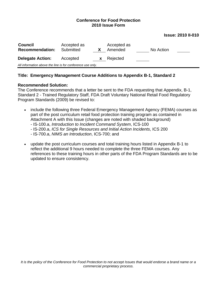**Issue: 2010 II-010** 

| <b>Council</b><br><b>Recommendation:</b>                   | Accepted as<br>Submitted |   | Accepted as<br>Amended | No Action |  |  |
|------------------------------------------------------------|--------------------------|---|------------------------|-----------|--|--|
| <b>Delegate Action:</b>                                    | Accepted                 | X | Rejected               |           |  |  |
| All information above the line is for conference use only. |                          |   |                        |           |  |  |

#### **Title: Emergency Management Course Additions to Appendix B-1, Standard 2**

#### **Recommended Solution:**

The Conference recommends that a letter be sent to the FDA requesting that Appendix, B-1, Standard 2 - Trained Regulatory Staff, FDA Draft Voluntary National Retail Food Regulatory Program Standards (2009) be revised to:

- include the following three Federal Emergency Management Agency (FEMA) courses as part of the post curriculum retail food protection training program as contained in Attachment A with this Issue (changes are noted with shaded background)
	- IS-100.a, *Introduction to Incident Command System*, ICS-100
	- IS-200.a, *ICS for Single Resources and Initial Action Incidents*, ICS 200
	- IS-700.a, *NIMS an Introduction*, ICS-700; and
- update the post curriculum courses and total training hours listed in Appendix B-1 to reflect the additional 9 hours needed to complete the three FEMA courses. Any references to these training hours in other parts of the FDA Program Standards are to be updated to ensure consistency.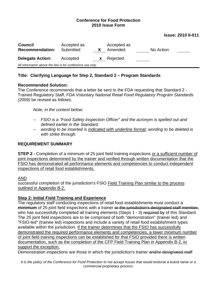#### **Issue: 2010 II-011**

| <b>Council</b><br><b>Recommendation:</b>                   | Accepted as<br>Submitted |    | Accepted as<br>Amended | No Action |  |  |
|------------------------------------------------------------|--------------------------|----|------------------------|-----------|--|--|
| <b>Delegate Action:</b>                                    | Accepted                 | X. | Rejected               |           |  |  |
| All information above the line is for conference use only. |                          |    |                        |           |  |  |

## **Title: Clarifying Language for Step 2, Standard 2 – Program Standards**

#### **Recommended Solution:**

The Conference recommends that a letter be sent to the FDA requesting that Standard 2 - Trained Regulatory Staff, *FDA Voluntary National Retail Food Regulatory Program Standards (2009)* be revised as follows:

*Note, in the context below:* 

- *-- FSIO is a "Food Safety Inspection Officer" and the acronym is spelled out and defined earlier in the Standard.*
- *-- wording to be inserted is indicated with underline format; wording to be deleted is with strike through.*

#### **REQUIREMENT SUMMARY**

**STEP 2 - Completion of a minimum of 25 joint field training inspections or a sufficient number of** joint inspections determined by the trainer and verified through written documentation that the FSIO has demonstrated all performance elements and competencies to conduct independent inspections of retail food establishments,

#### AND

successful completion of the jurisdiction's FSIO Field Training Plan similar to the process outlined in Appendix B-2.

#### **Step 2: Initial Field Training and Experience**

The regulatory staff conducting inspections of retail food establishments must conduct a **minimum** of 25 joint field inspections with a trainer or the jurisdiction's designated staff member, who has successfully completed all training elements (Steps 1 - 3) required by of this Standard. The 25 joint field inspections are to be comprised of both "demonstration" (trainer led) and "FSIO-led" (trainee led) inspections and include a variety of retail food establishment types available within the jurisdiction. If the trainer determines that the FSIO has successfully demonstrated the required performance elements and competencies, a lower minimum number of joint field training inspections can be established for that FSIO provided there is written documentation, such as the completion of the CFP Field Training Plan in Appendix B-2, to support the exception.

Demonstration inspections are those in which the jurisdiction's trainer and/or designated staff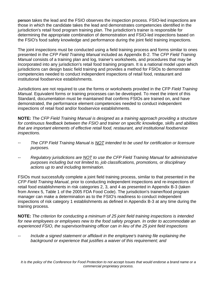person takes the lead and the FSIO observes the inspection process. FSIO-led inspections are those in which the candidate takes the lead and demonstrates competencies identified in the jurisdiction's retail food program training plan. The jurisdiction's trainer is responsible for determining the appropriate combination of demonstration and FSIO-led inspections base d on the FSIO's food safety knowledge and performance during the joint field training inspections.

The joint inspections must be conducted using a field training process and forms similar to ones incorporated into any jurisdiction's retail food training program. It is a national model upon which presented in the *CFP Field Training Manual* included as Appendix B-2. The *CFP Field Training Manual* consists of a training plan and log, trainer's worksheets, and procedures that may be jurisdictions can design basic field training and provides a method for FSIOs to demonstrate competencies needed to conduct independent inspections of retail food, restaurant and institutional foodservice establishments.

Jurisdictions are not required to use the forms or worksheets provided in the CFP Field Training *Manual.* Equivalent forms or training processes can be developed. To meet the intent of this Standard, documentation must be maintained that confirms FSIOs are trained on, and have demonstrated, the performance element competencies needed to conduct independent inspections of retail food and/or foodservice establishments.

**NOTE:** The CFP Field Training Manual is designed as a training approach providing a structure *for continuous feedback between the FSIO and trainer on specific knowledge, skills and abilities that are important elements of effective retail food, restaurant, and institutional foodservice inspections.* 

- -- The CFP Field Training Manual is **NOT** intended to be used for certification or licensure *purposes.*
- -- Regulatory jurisdictions are **NOT** to use the CFP Field Training Manual for administrative *purposes including but not limited to, job classifications, promotions, or disciplinary actions up to and including termination.*

FSIOs must successfully complete a joint field training process, similar to that presented in the inspections of risk category 1 establishments as defined in Appendix B-3 at any time during the *CFP Field Training Manual*, prior to conducting independent inspections and re-inspections of retail food establishments in risk categories 2, 3, and 4 as presented in Appendix B-3 (taken from Annex 5, Table 1 of the 2005 FDA Food Code). The jurisdiction's trainer/food program manager can make a determination as to the FSIO's readiness to conduct independent training process.

**OTE:** *The criterion for conducting a minimum of 25 joint field training inspections is intended*  **N** *for new employees or employees new to the food safety program. In order to accommodate an experienced FSIO, the supervisor/training officer can in lieu of the 25 joint field inspections*

*Include a signed statement or affidavit in the employee's training file explaining the - background or experience that justifies a waiver of this requirement; and*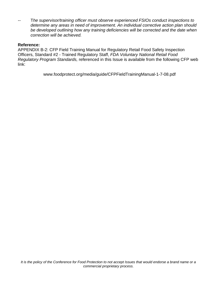The supervisor/training officer must observe experienced FSIOs conduct inspections to *determine any areas in need of improvement. An individual corrective action plan should be developed outlining how any training deficiencies will be corrected and the date when correction will be achieved.* 

## **Reference:**

APPENDIX B-2: CFP Field Training Manual for Regulatory Retail Food Safety Inspection Officers, Standard #2 - Trained Regulatory Staff, *FDA Voluntary National Retail Food Regulatory Program Standards,* referenced in this Issue is available from the following CFP web link:

www.foodprotect.org/media/guide/CFPFieldTrainingManual-1-7-08.pdf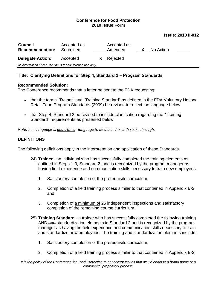#### **Issue: 2010 II-012**

| <b>Council</b><br><b>Recommendation:</b>                   | Accepted as<br>Submitted |          | Accepted as<br>Amended | X | No Action |  |
|------------------------------------------------------------|--------------------------|----------|------------------------|---|-----------|--|
| <b>Delegate Action:</b>                                    | Accepted                 | <b>X</b> | Rejected               |   |           |  |
| All information above the line is for conference use only. |                          |          |                        |   |           |  |

#### **Title: Clarifying Definitions for Step 4, Standard 2 – Program Standards**

#### **Recommended Solution:**

The Conference recommends that a letter be sent to the FDA requesting:

- that the terms "Trainer" and "Training Standard" as defined in the FDA Voluntary National Retail Food Program Standards (2009) be revised to reflect the language below.
- that Step 4, Standard 2 be revised to include clarification regarding the "Training" Standard" requirements as presented below.

*Note: new language is underlined; language to be deleted is with strike through.*

## **DEFINITIONS**

The following definitions apply in the interpretation and application of these Standards.

- 24) **Trainer** an individual who has successfully completed the training elements as outlined in Steps 1-3, Standard 2, and is recognized by the program manager as having field experience and communication skills necessary to train new employees.
	- 1. Satisfactory completion of the prerequisite curriculum;
	- 2. Completion of a field training process similar to that contained in Appendix B-2, and
	- 3. Completion of a minimum of 25 independent inspections and satisfactory completion of the remaining course curriculum.
- 25) **Training Standard** a trainer who has successfully completed the following training AND and standardization elements in Standard 2 and is recognized by the program manager as having the field experience and communication skills necessary to train and standardize new employees. The training and standardization elements include:
	- 1. Satisfactory completion of the prerequisite curriculum;
	- 2. Completion of a field training process similar to that contained in Appendix B-2;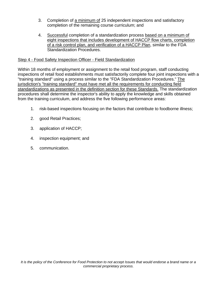- 3. Completion of a minimum of 25 independent inspections and satisfactory completion of the remaining course curriculum; and
- 4. Successful completion of a standardization process based on a minimum of eight inspections that includes development of HACCP flow charts, completion of a risk control plan, and verification of a HACCP Plan, similar to the FDA Standardization Procedures.

## Step 4 - Food Safety Inspection Officer - Field Standardization

Within 18 months of employment or assignment to the retail food program, staff conducting inspections of retail food establishments must satisfactorily complete four joint inspections with a "training standard" using a process similar to the "FDA Standardization Procedures." The jurisdiction's "training standard" must have met all the requirements for conducting field standardizations as presented in the definition section for these Standards. The standardization procedures shall determine the inspector's ability to apply the knowledge and skills obtained from the training curriculum, and address the five following performance areas:

- 1. risk-based inspections focusing on the factors that contribute to foodborne illness;
- 2. good Retail Practices;
- 3. application of HACCP;
- 4. inspection equipment; and
- 5. communication.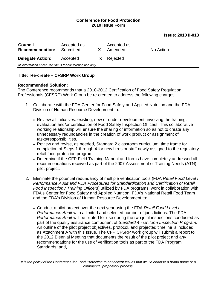#### **Issue: 2010 II-013**

| <b>Council</b><br><b>Recommendation:</b>                   | Accepted as<br>Submitted |              | Accepted as<br>Amended | No Action |  |  |
|------------------------------------------------------------|--------------------------|--------------|------------------------|-----------|--|--|
| <b>Delegate Action:</b>                                    | Accepted                 | $\mathbf{X}$ | Rejected               |           |  |  |
| All information above the line is for conference use only. |                          |              |                        |           |  |  |

#### **Title: Re-create – CFSRP Work Group**

#### **Recommended Solution:**

The Conference recommends that a 2010-2012 Certification of Food Safety Regulation Professionals (CFSRP) Work Group be re-created to address the following charges:

- 1. Collaborate with the FDA Center for Food Safety and Applied Nutrition and the FDA Division of Human Resource Development to:
	- Review all initiatives: existing, new or under development; involving the training, evaluation and/or certification of Food Safety Inspection Officers. This collaborative working relationship will ensure the sharing of information so as not to create any unnecessary redundancies in the creation of work product or assignment of tasks/responsibilities.
	- Review and revise, as needed, Standard 2 classroom curriculum, time frame for completion of Steps 1 through 4 for new hires or staff newly assigned to the regulatory retail food protection program.
	- Determine if the CFP Field Training Manual and forms have completely addressed all recommendations received as part of the 2007 Assessment of Training Needs (ATN) pilot project.
- 2. Eliminate the potential redundancy of multiple verification tools (FDA *Retail Food Level I Performance Audit and FDA Procedures for Standardization and Certification of Retail Food Inspection / Training Officers*) utilized by FDA programs, work in collaboration with FDA's Center for Food Safety and Applied Nutrition, FDA's National Retail Food Team and the FDA's Division of Human Resource Development to:
	- Conduct a pilot project over the next year using the FDA *Retail Food Level I Performance Audit* with a limited and selected number of jurisdictions. The FDA *Performance Audit* will be piloted for use during the two joint inspections conducted as part of the quality assurance component of *Standard 4 - Uniform Inspection Program.*  An outline of the pilot project objectives, protocol, and projected timeline is included as Attachment A with this Issue. The CFP CFSRP work group will submit a report to the 2012 Biennial Meeting that documents the result of the pilot project and any recommendations for the use of verification tools as part of the FDA Program Standards*;* and,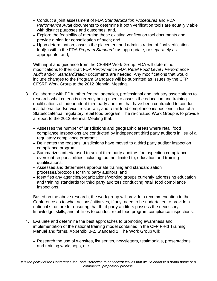- Conduct a joint assessment of FDA *Standardization Procedures* and FDA *Performance Audit* documents to determine if both verification tools are equally viable with distinct purposes and outcomes; and,
- Explore the feasibility of merging these existing verification tool documents and provide a plan for consolidation of such; and,
- Upon determination, assess the placement and administration of final verification tool(s) within the FDA *Program Standards* as appropriate, or separately as appropriate; and,

With input and guidance from the CFSRP Work Group, FDA will determine if modifications to their draft FDA *Performance FDA Retail Food Level I Performance Audit* and/or *Standardization* documents are needed. Any modifications that would include changes to the Program Standards will be submitted as Issues by the CFP CFSRP Work Group to the 2012 Biennial Meeting.

- 3. Collaborate with FDA, other federal agencies, professional and industry associations to research what criteria is currently being used to assess the education and training qualifications of independent third party auditors that have been contracted to conduct institutional foodservice, restaurant, and retail food compliance inspections in lieu of a State/local/tribal regulatory retail food program. The re-created Work Group is to provide a report to the 2012 Biennial Meeting that:
	- Assesses the number of jurisdictions and geographic areas where retail food compliance Inspections are conducted by independent third party auditors in lieu of a regulatory compliance program;
	- Delineates the reasons jurisdictions have moved to a third party auditor inspection compliance program;
	- Summarizes criteria used to select third party auditors for inspection compliance oversight responsibilities including, but not limited to, education and training qualifications;
	- Assesses and determines appropriate training and standardization processes/protocols for third party auditors, and
	- Identifies any agencies/organizations/working groups currently addressing education and training standards for third party auditors conducting retail food compliance inspections.

Based on the above research, the work group will provide a recommendation to the Conference as to what actions/initiatives, if any, need to be undertaken to provide a national structure for ensuring that third party auditors possess the necessary knowledge, skills, and abilities to conduct retail food program compliance inspections.

- 4. Evaluate and determine the best approaches to promoting awareness and implementation of the national training model contained in the CFP Field Training Manual and forms, Appendix B-2, Standard 2. The Work Group will:
	- Research the use of websites, list serves, newsletters, testimonials, presentations, and training workshops, etc.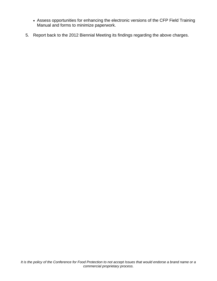- Assess opportunities for enhancing the electronic versions of the CFP Field Training Manual and forms to minimize paperwork.
- 5. Report back to the 2012 Biennial Meeting its findings regarding the above charges.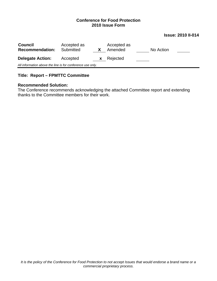#### **Issue: 2010 II-014**

| <b>Council</b><br><b>Recommendation:</b>                   | Accepted as<br>Submitted |   | Accepted as<br>Amended | No Action |  |  |
|------------------------------------------------------------|--------------------------|---|------------------------|-----------|--|--|
| <b>Delegate Action:</b>                                    | Accepted                 | X | Rejected               |           |  |  |
| All information above the line is for conference use only. |                          |   |                        |           |  |  |

## **Title: Report – FPMTTC Committee**

#### **Recommended Solution:**

The Conference recommends acknowledging the attached Committee report and extending thanks to the Committee members for their work.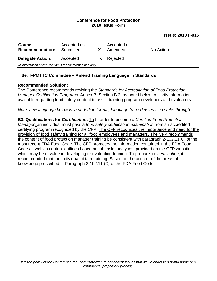**Issue: 2010 II-015** 

| <b>Council</b><br><b>Recommendation:</b>                   | Accepted as<br>Submitted |              | Accepted as<br>Amended | No Action |  |  |
|------------------------------------------------------------|--------------------------|--------------|------------------------|-----------|--|--|
| <b>Delegate Action:</b>                                    | Accepted                 | $\mathbf{x}$ | Rejected               |           |  |  |
| All information above the line is for conference use only. |                          |              |                        |           |  |  |

## **Title: FPMTTC Committee – Amend Training Language in Standards**

#### **Recommended Solution:**

The Conference recommends revising the *Standards for Accreditation of Food Protection Manager Certification Programs,* Annex B, Section B 3, as noted below to clarify information available regarding food safety content to assist training program developers and evaluators.

*Note: new language below is in underline format; language to be deleted is in strike through*

**B3. Qualifications for** *Certification***.** To In order to become a *Certified Food Protection Manager*, an individual must pass a *food safety certification examination* from an accredited certifying program recognized by the CFP. The CFP recognizes the importance and need for the provision of food safety training for all food employees and managers. The CFP recommends the content of food protection manager training be consistent with paragraph 2-102.11(C) of the most recent FDA Food Code. The CFP promotes the information contained in the FDA Food Code as well as content outlines based on job tasks analyses, provided on the CFP website, which may be of value in developing or evaluating training. To prepare for *certification*, it is recommended that the individual obtain training. Based on the content of the areas of knowledge prescribed in Paragraph 2-102.11 (C) of the FDA Food Code.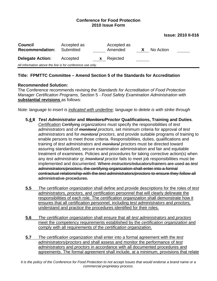**Issue: 2010 II-016** 

| <b>Council</b><br><b>Recommendation:</b>                   | Accepted as<br>Submitted |              | Accepted as<br>Amended | X. | No Action |  |
|------------------------------------------------------------|--------------------------|--------------|------------------------|----|-----------|--|
| <b>Delegate Action:</b>                                    | Accepted                 | $\mathbf{X}$ | Rejected               |    |           |  |
| All information above the line is for conference use only. |                          |              |                        |    |           |  |

## **Title: FPMTTC Committee – Amend Section 5 of the Standards for Accreditation**

#### **Recommended Solution:**

The Conference recommends revising the *Standards for Accreditation of Food Protection Manager Certification Programs,* Section 5 *- Food Safety Examination Administration* with **substantial revisions** as follows:

*Note: language to insert is indicated with underline; language to delete is with strike through*

- **5.4 8** *Test Administrator* **and** *Monitors/Proctor* **Qualifications, Training and Duties**. *Certification* Certifying *organizations* must specify the responsibilities of *test administrators* and of *monitors/ proctors*, set minimum criteria for approval of *test administrators* and for *monitors/ proctors*, and provide suitable programs of training to enable persons to meet those criteria. Responsibilities, duties, qualifications and training of *test administrators* and *monitors/ proctors* must be directed toward assuring standardized, secure examination administration and fair and equitable treatment of examinees. Policies and procedures for taking corrective action(s) when any *test administrator* or */monitors/ proctor* fails to meet job responsibilities must be implemented and documented. Where *instructors/educators/trainers* are used as *test administrators/proctors,* the certifying organization shall enter into a formal contractual relationship with the *test administrators/proctors* to ensure they follow all administrative procedures.
- **5.5** *The* c*ertification organization* shall define and provide descriptions for the roles of *test administrators, proctors*, and certification personnel that will clearly delineate the responsibilities of each role. The *certification organization* shall demonstrate how it ensures that all certification personnel, including *test administrators* and *proctors,* understand and practice the procedures identified for their roles.
- **5.6** *The certification organization* shall ensure that all *test administrators* and *proctors* meet the competency requirements established by the *certification organization* and comply with all requirements of the *certification organization*.
- **5.7** *The certification organization* shall enter into a formal agreement with the *test administrators/proctors* and shall assess and monitor the performance of *test administrators* and *proctors* in accordance with all documented procedures and agreements. The formal agreement shall include, at a minimum, provisions that relate

*It is the policy of the Conference for Food Protection to not accept Issues that would endorse a brand name or a commercial proprietary process.*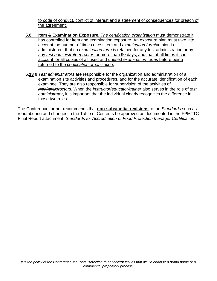to code of conduct, conflict of interest and a statement of consequences for breach of the agreement.

- **5.8 Item & Examination Exposure.** *The certification organization* must demonstrate it has controlled for item and examination exposure. An exposure plan must take into account the number of times a test item and *examination form*/version is administered, that no *examination form* is retained for any test administration or by any *test administrator/proctor* for more than 90 days; and that at all times it can account for all copies of all used and unused *examination forms* before being returned to the *certification organization*.
- **5.13 9** *Test administrators* are responsible for the organization and administration of all examination site activities and procedures, and for the accurate identification of each examinee. They are also responsible for supervision of the activities of *monitors/proctors*. When the *instructor/educator/trainer* also serves in the role of *test administrator*, it is important that the individual clearly recognizes the difference in those two roles.

The Conference further recommends that **non-substantial revisions** to the *Standards* such as renumbering and changes to the Table of Contents be approved as documented in the FPMTTC Final Report attachment, *Standards for Accreditation of Food Protection Manager Certification.*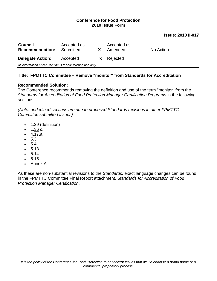#### **Issue: 2010 II-017**

| <b>Council</b><br><b>Recommendation:</b>                   | Accepted as<br>Submitted |   | Accepted as<br>Amended | No Action |  |  |
|------------------------------------------------------------|--------------------------|---|------------------------|-----------|--|--|
| <b>Delegate Action:</b>                                    | Accepted                 | X | Rejected               |           |  |  |
| All information above the line is for conference use only. |                          |   |                        |           |  |  |

## **Title: FPMTTC Committee – Remove "monitor" from Standards for Accreditation**

#### **Recommended Solution:**

The Conference recommends removing the definition and use of the term "monitor" from the Standards for Accreditation of Food Protection Manager Certification Programs in the following sections*:*

*(Note: underlined sections are due to proposed Standards revisions in other FPMTTC Committee submitted Issues)*

- 1.29 (definition)
- 1.36 c.
- $-4.17.a.$
- $5.3.$
- 5.4
- 5.13
- $5.14$
- 5.15
- Annex A

As these are non-substantial revisions to the *Standards,* exact language changes can be found in the FPMTTC Committee Final Report attachment, *Standards for Accreditation of Food Protection Manager Certification*.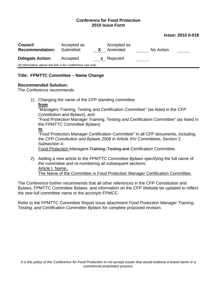#### **Issue: 2010 II-018**

| <b>Council</b><br><b>Recommendation:</b>                   | Accepted as<br>Submitted |  | Accepted as<br>Amended | No Action |  |  |  |
|------------------------------------------------------------|--------------------------|--|------------------------|-----------|--|--|--|
| <b>Delegate Action:</b>                                    | Accepted                 |  | <b>x</b> Rejected      |           |  |  |  |
| All information above the line is for conference use only. |                          |  |                        |           |  |  |  |

#### **Title: FPMTTC Committee – Name Change**

#### **Recommended Solution:**

The Conference recommends

1) Changing the name of the CFP standing committee **from**  "Managers Training, Testing and Certification Committee" (as listed in the *CFP Constitution and Bylaws*), and "Food Protection Manager Training, Testing and Certification Committee" (as listed in the *FPMTTC Committee Bylaws*) **to**  "Food Protection Manager Certification Committee" in all CFP documents, including

the *CFP Constitution and Bylaws 2008* in Article XIV Committees, Section 2. Subsection 4: Food Protection Managers Training, Testing and Certification Committee.

2) Adding a new article to the *FPMTTC Committee Bylaws* specifying the full name of the committee and re-numbering all subsequent sections: Article I. Name. The Name of the Committee is Food Protection Manager Certification Committee.

The Conference further recommends that all other references in the CFP Constitution and Bylaws, FPMTTC Committee Bylaws, and information on the CFP Website be updated to reflect the new full committee name or the acronym FPMCC.

Refer to the FPMTTC Committee Report Issue attachment *Food Protection Manager Training, Testing, and Certification Committee Bylaws* for complete proposed revision.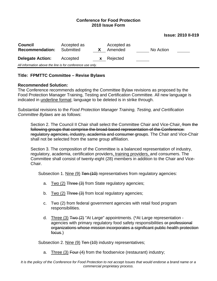#### **Issue: 2010 II-019**

| <b>Council</b><br><b>Recommendation:</b> | Accepted as<br>Submitted                                   |              | Accepted as<br>Amended | No Action |  |  |  |  |
|------------------------------------------|------------------------------------------------------------|--------------|------------------------|-----------|--|--|--|--|
| <b>Delegate Action:</b>                  | Accepted                                                   | $\mathbf{X}$ | Rejected               |           |  |  |  |  |
|                                          | All information above the line is for conference use only. |              |                        |           |  |  |  |  |

#### **Title: FPMTTC Committee – Revise Bylaws**

#### **Recommended Solution:**

The Conference recommends adopting the Committee Bylaw revisions as proposed by the Food Protection Manager Training, Testing and Certification Committee. All new language is indicated in underline format; language to be deleted is in strike through.

Substantial revisions to the *Food Protection Manager Training, Testing, and Certification Committee Bylaws* are as follows:

Section 2. The Council II Chair shall select the Committee Chair and Vice-Chair. from the following groups that comprise the broad based representation of the Conference: regulatory agencies, industry, academia and consumer groups. The Chair and Vice-Chair shall not be selected from the same group affiliation.

Section 3. The composition of the Committee is a balanced representation of industry, regulatory, academia, certification providers, training providers, and consumers. The Committee shall consist of twenty-eight (28) members in addition to the Chair and Vice-Chair.

Subsection 1. Nine (9) Ten (10) representatives from regulatory agencies:

- a. Two  $(2)$  Three  $(3)$  from State regulatory agencies;
- b. Two  $(2)$  Three  $(3)$  from local regulatory agencies;
- c. Two (2) from federal government agencies with retail food program responsibilities.
- d. Three (3)  $\frac{1}{4}$  Two  $\left(\frac{2}{2}\right)$  "At Large" appointments. (\*At Large representation agencies with primary regulatory food safety responsibilities or professional organizations whose mission incorporates a significant public health protection focus.)

Subsection 2. Nine (9) Ten (10) industry representatives;

a. Three (3) Four (4) from the foodservice (restaurant) industry;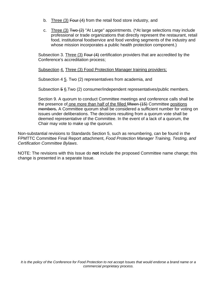- b. Three (3) Four (4) from the retail food store industry, and
- c. Three (3)  $\mp$ wo (2) "At Large" appointments. (\*At large selections may include professional or trade organizations that directly represent the restaurant, retail food, institutional foodservice and food vending segments of the industry and whose mission incorporates a public health protection component.)

Subsection 3. Three (3) Four (4) certification providers that are accredited by the Conference's accreditation process;

Subsection 4. Three (3) Food Protection Manager training providers;

Subsection 4 5. Two (2) representatives from academia, and

Subsection 5 6.Two (2) consumer/independent representatives/public members.

Section 9. A quorum to conduct Committee meetings and conference calls shall be the presence of one more than half of the filled fifteen (15) Committee positions members**.** A Committee quorum shall be considered a sufficient number for voting on issues under deliberations. The decisions resulting from a quorum vote shall be deemed representative of the Committee. In the event of a lack of a quorum, the Chair may vote to make up the quorum.

Non-substantial revisions to Standards Section 5, such as renumbering, can be found in the FPMTTC Committee Final Report attachment, *Food Protection Manager Training, Testing, and Certification Committee Bylaws*.

NOTE: The revisions with this Issue do **not** include the proposed Committee name change; this change is presented in a separate Issue.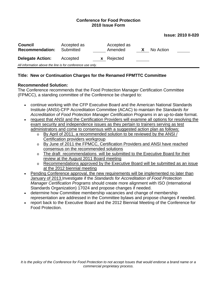#### **Issue: 2010 II-020**

| <b>Council</b><br><b>Recommendation:</b>                   | Accepted as<br>Submitted | Accepted as<br>Amended | X | No Action |  |
|------------------------------------------------------------|--------------------------|------------------------|---|-----------|--|
| <b>Delegate Action:</b>                                    | Accepted                 | <b>x</b> Rejected      |   |           |  |
| All information above the line is for conference use only. |                          |                        |   |           |  |

#### **Title: New or Continuation Charges for the Renamed FPMTTC Committee**

#### **Recommended Solution:**

The Conference recommends that the Food Protection Manager Certification Committee (FPMCC), a standing committee of the Conference be charged to:

- continue working with the CFP Executive Board and the American National Standards Institute (ANSI)-CFP Accreditation Committee (ACAC) to maintain the *Standards for Accreditation of Food Protection Manager Certification Programs* in an up-to-date format.
- request that ANSI and the Certification Providers will examine all options for resolving the exam security and independence issues as they pertain to trainers serving as test administrators and come to consensus with a suggested action plan as follows:
	- o By April of 2011, a recommended solution to be reviewed by the ANSI / Certification providers workgroup
	- o By June of 2011 the FPMCC, Certification Providers and ANSI have reached consensus on the recommended solutions
	- o The draft recommendations will be submitted to the Executive Board for their review at the August 2011 Board meeting
	- o Recommendations approved by the Executive Board will be submitted as an issue at the 2012 biennial meeting
- Pending Conference approval, the new requirements will be implemented no later than January of 2013.Investigate if the *Standards for Accreditation of Food Protection Manager Certification Programs* should create more alignment with ISO (International Standards Organization) 17024 and propose changes if needed.
- determine how Committee membership vacancies and change of membership representation are addressed in the Committee bylaws and propose changes if needed.
- report back to the Executive Board and the 2012 Biennial Meeting of the Conference for Food Protection.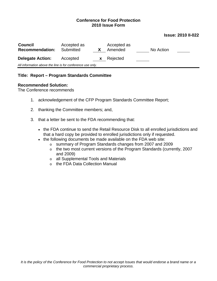#### **Issue: 2010 II-022**

| <b>Council</b><br><b>Recommendation:</b>                   | Accepted as<br>Submitted | X            | Accepted as<br>Amended | No Action |  |  |
|------------------------------------------------------------|--------------------------|--------------|------------------------|-----------|--|--|
| <b>Delegate Action:</b>                                    | Accepted                 | $\mathbf{X}$ | Rejected               |           |  |  |
| All information above the line is for conference use only. |                          |              |                        |           |  |  |

#### **Title: Report – Program Standards Committee**

#### **Recommended Solution:**

The Conference recommends

- 1. acknowledgement of the CFP Program Standards Committee Report;
- 2. thanking the Committee members; and,
- 3. that a letter be sent to the FDA recommending that:
	- the FDA continue to send the Retail Resource Disk to all enrolled jurisdictions and that a hard copy be provided to enrolled jurisdictions only if requested.
	- the following documents be made available on the FDA web site:
		- o summary of Program Standards changes from 2007 and 2009
		- o the two most current versions of the Program Standards (currently, 2007 and 2009)
		- o all Supplemental Tools and Materials
		- o the FDA Data Collection Manual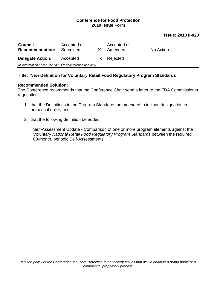#### **Issue: 2010 II-023**

| <b>Council</b><br><b>Recommendation:</b>                   | Accepted as<br>Submitted |   | Accepted as<br>Amended | No Action |  |  |
|------------------------------------------------------------|--------------------------|---|------------------------|-----------|--|--|
| <b>Delegate Action:</b>                                    | Accepted                 | X | Rejected               |           |  |  |
| All information above the line is for conference use only. |                          |   |                        |           |  |  |

#### **Title: New Definition for Voluntary Retail Food Regulatory Program Standards**

#### **Recommended Solution:**

The Conference recommends that the Conference Chair send a letter to the FDA Commissioner requesting:

- 1. that the Definitions in the Program Standards be amended to include designation in numerical order, and
- 2. that the following definition be added:

Self-Assessment Update **-** Comparison of one or more program elements against the Voluntary *National Retail Food Regulatory Program Standards* between the required 60-month, periodic Self-Assessments.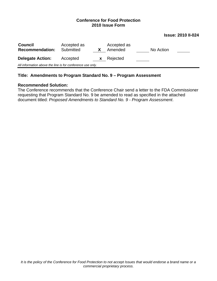**Issue: 2010 II-024** 

| <b>Council</b><br><b>Recommendation:</b>                   | Accepted as<br>Submitted | X        | Accepted as<br>Amended |  | No Action |  |
|------------------------------------------------------------|--------------------------|----------|------------------------|--|-----------|--|
| <b>Delegate Action:</b>                                    | Accepted                 | <b>X</b> | Rejected               |  |           |  |
| All information above the line is for conference use only. |                          |          |                        |  |           |  |
|                                                            |                          |          |                        |  |           |  |

### **Title: Amendments to Program Standard No. 9 – Program Assessment**

#### **Recommended Solution:**

The Conference recommends that the Conference Chair send a letter to the FDA Commissioner requesting that Program Standard No. 9 be amended to read as specified in the attached document titled: *Proposed Amendments to Standard No. 9 - Program Assessment*.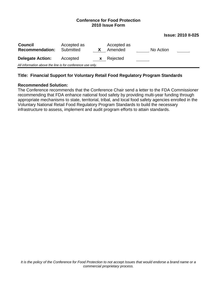**Issue: 2010 II-025** 

| <b>Council</b><br><b>Recommendation:</b>                   | Accepted as<br>Submitted |    | Accepted as<br>Amended | No Action |  |
|------------------------------------------------------------|--------------------------|----|------------------------|-----------|--|
| <b>Delegate Action:</b>                                    | Accepted                 | X. | Rejected               |           |  |
| All information above the line is for conference use only. |                          |    |                        |           |  |

## **Title: Financial Support for Voluntary Retail Food Regulatory Program Standards**

#### **Recommended Solution:**

The Conference recommends that the Conference Chair send a letter to the FDA Commissioner recommending that FDA enhance national food safety by providing multi-year funding through appropriate mechanisms to state, territorial, tribal, and local food safety agencies enrolled in the Voluntary National Retail Food Regulatory Program Standards to build the necessary infrastructure to assess, implement and audit program efforts to attain standards.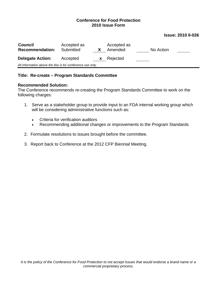#### **Issue: 2010 II-026**

| <b>Council</b><br><b>Recommendation:</b>                   | Accepted as<br>Submitted |   | Accepted as<br>Amended | No Action |  |
|------------------------------------------------------------|--------------------------|---|------------------------|-----------|--|
| <b>Delegate Action:</b>                                    | Accepted                 | X | Rejected               |           |  |
| All information above the line is for conference use only. |                          |   |                        |           |  |

#### **Title: Re-create – Program Standards Committee**

#### **Recommended Solution:**

The Conference recommends re-creating the Program Standards Committee to work on the following charges:

- 1. Serve as a stakeholder group to provide input to an FDA internal working group which will be considering administrative functions such as:
	- Criteria for verification auditors
	- Recommending additional changes or improvements to the Program Standards
- 2. Formulate resolutions to issues brought before the committee.
- 3. Report back to Conference at the 2012 CFP Biennial Meeting.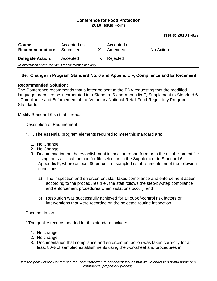#### **Issue: 2010 II-027**

| <b>Council</b><br><b>Recommendation:</b>                   | Accepted as<br>Submitted |   | Accepted as<br>Amended | No Action |  |
|------------------------------------------------------------|--------------------------|---|------------------------|-----------|--|
| <b>Delegate Action:</b>                                    | Accepted                 | X | Rejected               |           |  |
| All information above the line is for conference use only. |                          |   |                        |           |  |

## **Title: Change in Program Standard No. 6 and Appendix F, Compliance and Enforcement**

#### **Recommended Solution:**

The Conference recommends that a letter be sent to the FDA requesting that the modified language proposed be incorporated into Standard 6 and Appendix F, Supplement to Standard 6 - Compliance and Enforcement of the Voluntary National Retail Food Regulatory Program Standards.

Modify Standard 6 so that it reads:

Description of Requirement

- " . . . The essential program elements required to meet this standard are:
	- 1. No Change.
	- 2. No Change.
	- 3. Documentation on the establishment inspection report form or in the establishment file using the statistical method for file selection in the Supplement to Standard 6, Appendix F, where at least 80 percent of sampled establishments meet the following conditions:
		- a) The inspection and enforcement staff takes compliance and enforcement action according to the procedures (i.e., the staff follows the step-by-step compliance and enforcement procedures when violations occur), and
		- b) Resolution was successfully achieved for all out-of-control risk factors or interventions that were recorded on the selected routine inspection.

#### Documentation

" The quality records needed for this standard include:

- 1. No change.
- 2. No change.
- 3. Documentation that compliance and enforcement action was taken correctly for at least 80% of sampled establishments using the worksheet and procedures in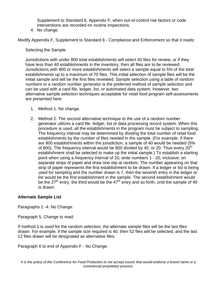Supplement to Standard 6, Appendix F, when out-of-control risk factors or code interventions are recorded on routine inspections.

4. No change.

Modify Appendix F, Supplement to Standard 6 - Compliance and Enforcement so that it reads:

## Selecting the Sample

Jurisdictions with under 800 total establishments will select 40 files for review, or if they have less than 40 establishments in the inventory, then all files are to be reviewed. Jurisdictions with 800 or more establishments will select a sample equal to 5% of the total establishments up to a maximum of 70 files. This initial selection of sample files will be the initial sample and will be the first files reviewed. Sample selection using a table of random numbers or a random number generator is the preferred method of sample selection and can be used with a card file, ledger, list, or automated data system. However, two alternative sample selection techniques acceptable for retail food program self-assessments are presented here.

- 1. Method 1. No change.
- 2. Method 2. The second alternative technique to the use of a random number generator utilizes a card file, ledger, list or data processing record system. When this procedure is used, all the establishments in the program must be subject to sampling. The frequency interval may be determined by dividing the total number of retail food establishments by the number of files needed in the sample. (For example, if there are 800 establishments within the jurisdiction, a sample of 40 would be needed (5% of 800). The frequency interval would be 800 divided by 40, or 20. Thus every  $20<sup>th</sup>$ establishment shall be selected to make up the initial sample.) To establish a starting point when using a frequency interval of 20, write numbers 1 - 20, inclusive, on separate strips of paper and draw one slip at random. The number appearing on that strip of paper represents the first establishment to be drawn. If a ledger or list is being used for sampling and the number drawn is 7, then the seventh entry in the ledger or list would be the first establishment in the sample. The second establishment would be the 27<sup>th</sup> entry, the third would be the 47<sup>th</sup> entry and so forth, until the sample of 40 is drawn.

## **Alternate Sample List**

Paragraphs 1 -4: No Change.

Paragraph 5, Change to read:

If method 1 is used for the random selection, the alternate sample files will be the last files drawn. For example, if the sample size required is 40, then 52 files will be selected, and the last 12 files drawn will be designated as alternative files.

Paragraph 6 to end of Appendix F - No Change.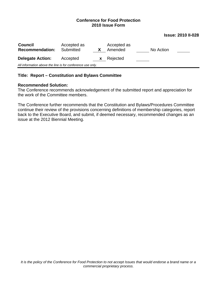#### **Issue: 2010 II-028**

| <b>Council</b><br><b>Recommendation:</b>                   | Accepted as<br>Submitted |    | Accepted as<br>Amended | No Action |  |
|------------------------------------------------------------|--------------------------|----|------------------------|-----------|--|
| <b>Delegate Action:</b>                                    | Accepted                 | X. | Rejected               |           |  |
| All information above the line is for conference use only. |                          |    |                        |           |  |

#### **Title: Report – Constitution and Bylaws Committee**

#### **Recommended Solution:**

The Conference recommends acknowledgement of the submitted report and appreciation for the work of the Committee members.

The Conference further recommends that the Constitution and Bylaws/Procedures Committee continue their review of the provisions concerning definitions of membership categories, report back to the Executive Board, and submit, if deemed necessary, recommended changes as an issue at the 2012 Biennial Meeting.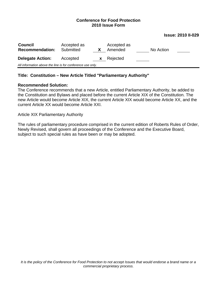#### **Issue: 2010 II-029**

| <b>Council</b><br><b>Recommendation:</b>                   | Accepted as<br>Submitted |   | Accepted as<br>Amended | No Action |  |
|------------------------------------------------------------|--------------------------|---|------------------------|-----------|--|
| <b>Delegate Action:</b>                                    | Accepted                 | X | Rejected               |           |  |
| All information above the line is for conference use only. |                          |   |                        |           |  |

#### **Title: Constitution – New Article Titled "Parliamentary Authority"**

#### **Recommended Solution:**

The Conference recommends that a new Article, entitled Parliamentary Authority, be added to the Constitution and Bylaws and placed before the current Article XIX of the Constitution. The new Article would become Article XIX, the current Article XIX would become Article XX, and the current Article XX would become Article XXI.

Article XIX Parliamentary Authority

The rules of parliamentary procedure comprised in the current edition of Roberts Rules of Order, Newly Revised, shall govern all proceedings of the Conference and the Executive Board, subject to such special rules as have been or may be adopted.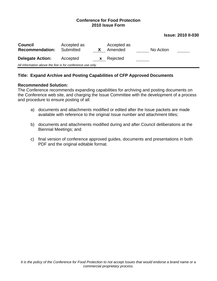#### **Issue: 2010 II-030**

| <b>Council</b><br><b>Recommendation:</b>                   | Accepted as<br>Submitted |    | Accepted as<br>Amended | No Action |  |
|------------------------------------------------------------|--------------------------|----|------------------------|-----------|--|
| <b>Delegate Action:</b>                                    | Accepted                 | X. | Rejected               |           |  |
| All information above the line is for conference use only. |                          |    |                        |           |  |

#### **Title: Expand Archive and Posting Capabilities of CFP Approved Documents**

#### **Recommended Solution:**

The Conference recommends expanding capabilities for archiving and posting documents on the Conference web site, and charging the Issue Committee with the development of a process and procedure to ensure posting of all:

- a) documents and attachments modified or edited after the Issue packets are made available with reference to the original Issue number and attachment titles;
- b) documents and attachments modified during and after Council deliberations at the Biennial Meetings; and
- c) final version of conference approved guides, documents and presentations in both PDF and the original editable format.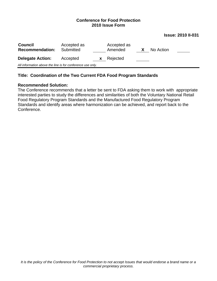**Issue: 2010 II-031** 

| <b>Council</b><br><b>Recommendation:</b>                   | Accepted as<br>Submitted |    | Accepted as<br>Amended | X | No Action |  |
|------------------------------------------------------------|--------------------------|----|------------------------|---|-----------|--|
| <b>Delegate Action:</b>                                    | Accepted                 | X. | Rejected               |   |           |  |
| All information above the line is for conference use only. |                          |    |                        |   |           |  |
|                                                            |                          |    |                        |   |           |  |

#### **Title: Coordination of the Two Current FDA Food Program Standards**

#### **Recommended Solution:**

The Conference recommends that a letter be sent to FDA asking them to work with appropriate interested parties to study the differences and similarities of both the Voluntary National Retail Food Regulatory Program Standards and the Manufactured Food Regulatory Program Standards and identify areas where harmonization can be achieved, and report back to the Conference.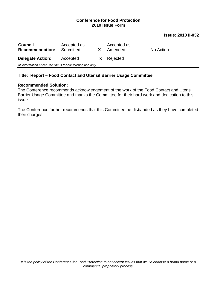#### **Issue: 2010 II-032**

| <b>Council</b><br><b>Recommendation:</b>                   | Accepted as<br>Submitted |              | Accepted as<br>Amended | No Action |  |
|------------------------------------------------------------|--------------------------|--------------|------------------------|-----------|--|
| <b>Delegate Action:</b>                                    | Accepted                 | $\mathbf{X}$ | Rejected               |           |  |
| All information above the line is for conference use only. |                          |              |                        |           |  |

#### **Title: Report – Food Contact and Utensil Barrier Usage Committee**

#### **Recommended Solution:**

The Conference recommends acknowledgement of the work of the Food Contact and Utensil Barrier Usage Committee and thanks the Committee for their hard work and dedication to this issue.

The Conference further recommends that this Committee be disbanded as they have completed their charges.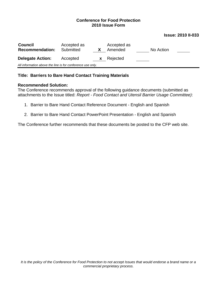#### **Issue: 2010 II-033**

| <b>Council</b><br><b>Recommendation:</b>                   | Accepted as<br>Submitted |    | Accepted as<br>Amended | No Action |  |
|------------------------------------------------------------|--------------------------|----|------------------------|-----------|--|
| <b>Delegate Action:</b>                                    | Accepted                 | X. | Rejected               |           |  |
| All information above the line is for conference use only. |                          |    |                        |           |  |

#### **Title: Barriers to Bare Hand Contact Training Materials**

#### **Recommended Solution:**

The Conference recommends approval of the following guidance documents (submitted as attachments to the Issue titled: *Report - Food Contact and Utensil Barrier Usage Committee)*:

- 1. Barrier to Bare Hand Contact Reference Document English and Spanish
- 2. Barrier to Bare Hand Contact PowerPoint Presentation English and Spanish

The Conference further recommends that these documents be posted to the CFP web site.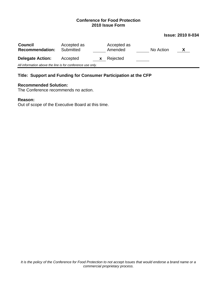#### **Issue: 2010 II-034**

| <b>Council</b><br><b>Recommendation:</b>                   | Accepted as<br>Submitted |          | Accepted as<br>Amended | No Action | X |
|------------------------------------------------------------|--------------------------|----------|------------------------|-----------|---|
| <b>Delegate Action:</b>                                    | Accepted                 | <b>X</b> | Rejected               |           |   |
| All information above the line is for conference use only. |                          |          |                        |           |   |

## **Title: Support and Funding for Consumer Participation at the CFP**

## **Recommended Solution:**

The Conference recommends no action.

#### **Reason:**

Out of scope of the Executive Board at this time.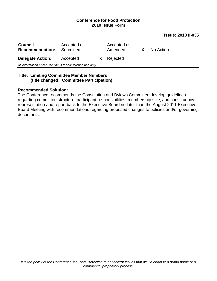| <b>Issue: 2010 II-035</b> |  |  |
|---------------------------|--|--|
|---------------------------|--|--|

| <b>Council</b><br><b>Recommendation:</b>                   | Accepted as<br>Submitted |              | Accepted as<br>Amended | X | No Action |  |
|------------------------------------------------------------|--------------------------|--------------|------------------------|---|-----------|--|
| <b>Delegate Action:</b>                                    | Accepted                 | $\mathbf{x}$ | Rejected               |   |           |  |
| All information above the line is for conference use only. |                          |              |                        |   |           |  |
|                                                            |                          |              |                        |   |           |  |

#### **Title: Limiting Committee Member Numbers (title changed: Committee Participation)**

#### **Recommended Solution:**

The Conference recommends the Constitution and Bylaws Committee develop guidelines regarding committee structure, participant responsibilities, membership size, and constituency representation and report back to the Executive Board no later than the August 2011 Executive Board Meeting with recommendations regarding proposed changes to policies and/or governing documents.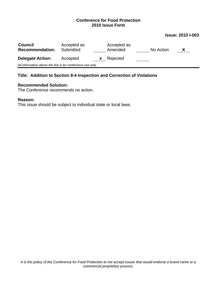#### **Issue: 2010 I-003**

| <b>Council</b><br><b>Recommendation:</b>                   | Accepted as<br>Submitted |          | Accepted as<br>Amended |  | No Action |  |  |
|------------------------------------------------------------|--------------------------|----------|------------------------|--|-----------|--|--|
| <b>Delegate Action:</b>                                    | Accepted                 | <b>X</b> | Rejected               |  |           |  |  |
| All information above the line is for conference use only. |                          |          |                        |  |           |  |  |

## **Title: Addition to Section 8-4 Inspection and Correction of Violations**

#### **Recommended Solution:**

The Conference recommends no action.

#### **Reason:**

This issue should be subject to individual state or local laws.